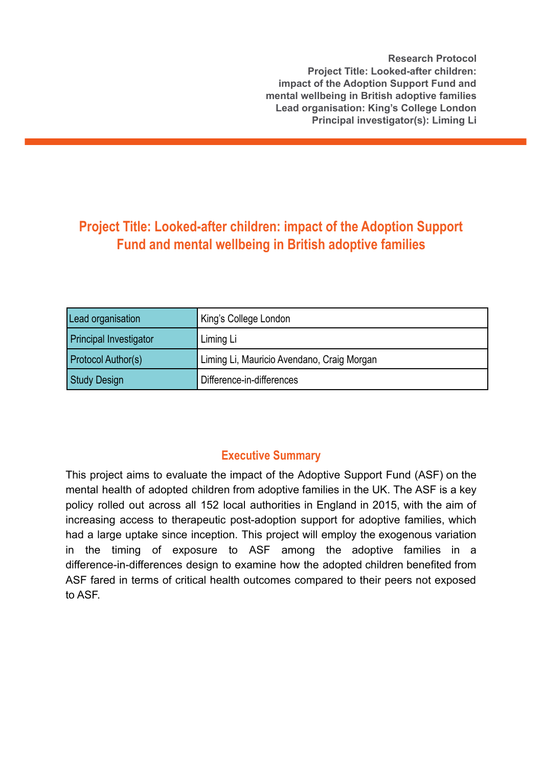**Research Protocol Project Title: Looked-after children: impact of the Adoption Support Fund and mental wellbeing in British adoptive families Lead organisation: King's College London Principal investigator(s): Liming Li**

# **Project Title: Looked-after children: impact of the Adoption Support Fund and mental wellbeing in British adoptive families**

| Lead organisation             | King's College London                      |
|-------------------------------|--------------------------------------------|
| <b>Principal Investigator</b> | Liming Li                                  |
| <b>Protocol Author(s)</b>     | Liming Li, Mauricio Avendano, Craig Morgan |
| Study Design                  | Difference-in-differences                  |

# **Executive Summary**

This project aims to evaluate the impact of the Adoptive Support Fund (ASF) on the mental health of adopted children from adoptive families in the UK. The ASF is a key policy rolled out across all 152 local authorities in England in 2015, with the aim of increasing access to therapeutic post-adoption support for adoptive families, which had a large uptake since inception. This project will employ the exogenous variation in the timing of exposure to ASF among the adoptive families in a difference-in-differences design to examine how the adopted children benefited from ASF fared in terms of critical health outcomes compared to their peers not exposed to ASF.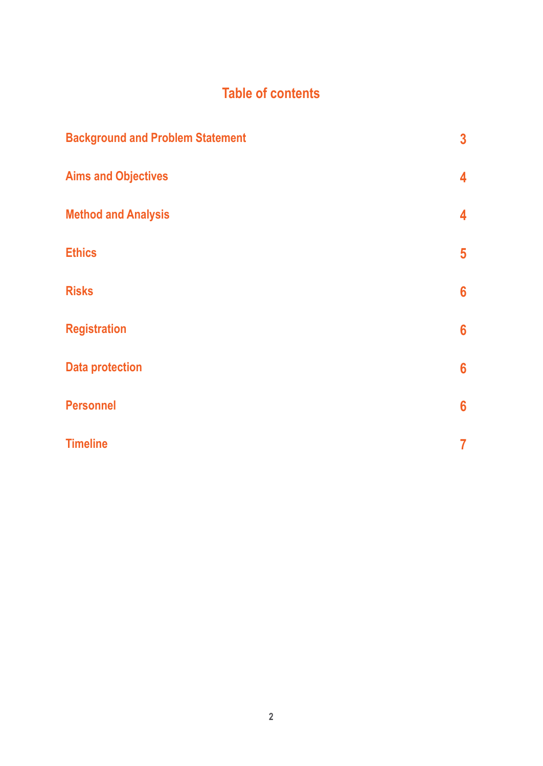# **Table of contents**

| <b>Background and Problem Statement</b> | $\overline{\mathbf{3}}$ |
|-----------------------------------------|-------------------------|
| <b>Aims and Objectives</b>              | 4                       |
| <b>Method and Analysis</b>              | 4                       |
| <b>Ethics</b>                           | $5\phantom{1}$          |
| <b>Risks</b>                            | 6                       |
| <b>Registration</b>                     | $6\phantom{1}6$         |
| <b>Data protection</b>                  | $6\phantom{1}6$         |
| <b>Personnel</b>                        | $6\phantom{a}$          |
| <b>Timeline</b>                         | 7                       |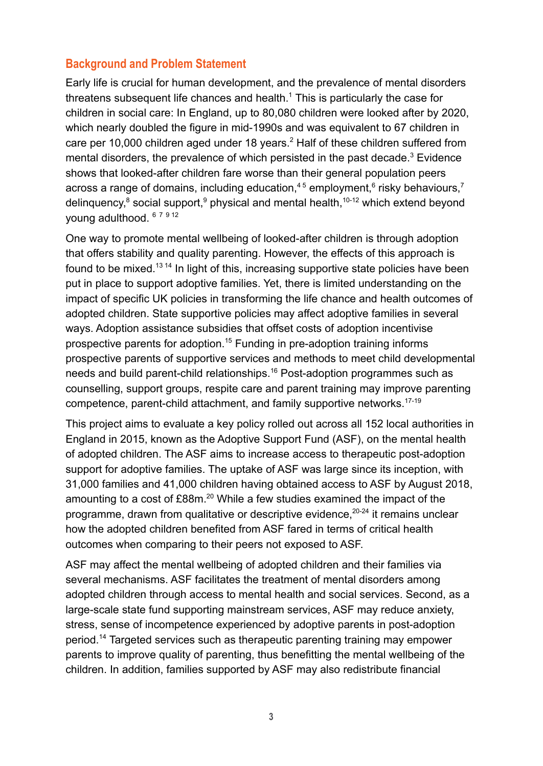### **Background and Problem Statement**

Early life is crucial for human development, and the prevalence of mental disorders threatens subsequent life chances and health.<sup>1</sup> This is particularly the case for children in social care: In England, up to 80,080 children were looked after by 2020, which nearly doubled the figure in mid-1990s and was equivalent to 67 children in care per 10,000 children aged under 18 years.<sup>2</sup> Half of these children suffered from mental disorders, the prevalence of which persisted in the past decade.<sup>3</sup> Evidence shows that looked-after children fare worse than their general population peers across a range of domains, including education,<sup>45</sup> employment,<sup>6</sup> risky behaviours,<sup>7</sup> delinquency,<sup>8</sup> social support,<sup>9</sup> physical and mental health,<sup>10-12</sup> which extend beyond young adulthood. <sup>6</sup> <sup>7</sup> <sup>9</sup> <sup>12</sup>

One way to promote mental wellbeing of looked-after children is through adoption that offers stability and quality parenting. However, the effects of this approach is found to be mixed.<sup>13 14</sup> In light of this, increasing supportive state policies have been put in place to support adoptive families. Yet, there is limited understanding on the impact of specific UK policies in transforming the life chance and health outcomes of adopted children. State supportive policies may affect adoptive families in several ways. Adoption assistance subsidies that offset costs of adoption incentivise prospective parents for adoption.<sup>15</sup> Funding in pre-adoption training informs prospective parents of supportive services and methods to meet child developmental needs and build parent-child relationships.<sup>16</sup> Post-adoption programmes such as counselling, support groups, respite care and parent training may improve parenting competence, parent-child attachment, and family supportive networks.<sup>17-19</sup>

This project aims to evaluate a key policy rolled out across all 152 local authorities in England in 2015, known as the Adoptive Support Fund (ASF), on the mental health of adopted children. The ASF aims to increase access to therapeutic post-adoption support for adoptive families. The uptake of ASF was large since its inception, with 31,000 families and 41,000 children having obtained access to ASF by August 2018, amounting to a cost of  $£88m<sup>20</sup>$  While a few studies examined the impact of the programme, drawn from qualitative or descriptive evidence,<sup>20-24</sup> it remains unclear how the adopted children benefited from ASF fared in terms of critical health outcomes when comparing to their peers not exposed to ASF.

ASF may affect the mental wellbeing of adopted children and their families via several mechanisms. ASF facilitates the treatment of mental disorders among adopted children through access to mental health and social services. Second, as a large-scale state fund supporting mainstream services, ASF may reduce anxiety, stress, sense of incompetence experienced by adoptive parents in post-adoption period.<sup>14</sup> Targeted services such as therapeutic parenting training may empower parents to improve quality of parenting, thus benefitting the mental wellbeing of the children. In addition, families supported by ASF may also redistribute financial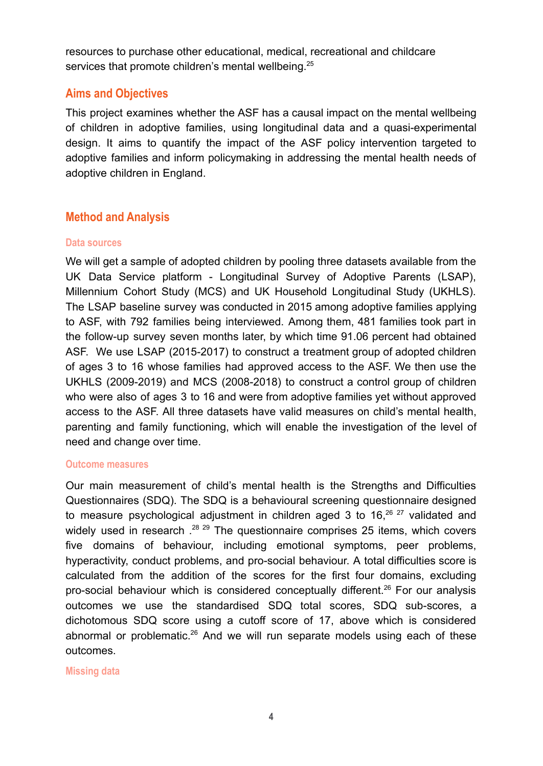resources to purchase other educational, medical, recreational and childcare services that promote children's mental wellbeing.<sup>25</sup>

### **Aims and Objectives**

This project examines whether the ASF has a causal impact on the mental wellbeing of children in adoptive families, using longitudinal data and a quasi-experimental design. It aims to quantify the impact of the ASF policy intervention targeted to adoptive families and inform policymaking in addressing the mental health needs of adoptive children in England.

### **Method and Analysis**

#### **Data sources**

We will get a sample of adopted children by pooling three datasets available from the UK Data Service platform - Longitudinal Survey of Adoptive Parents (LSAP), Millennium Cohort Study (MCS) and UK Household Longitudinal Study (UKHLS). The LSAP baseline survey was conducted in 2015 among adoptive families applying to ASF, with 792 families being interviewed. Among them, 481 families took part in the follow-up survey seven months later, by which time 91.06 percent had obtained ASF. We use LSAP (2015-2017) to construct a treatment group of adopted children of ages 3 to 16 whose families had approved access to the ASF. We then use the UKHLS (2009-2019) and MCS (2008-2018) to construct a control group of children who were also of ages 3 to 16 and were from adoptive families yet without approved access to the ASF. All three datasets have valid measures on child's mental health, parenting and family functioning, which will enable the investigation of the level of need and change over time.

#### **Outcome measures**

Our main measurement of child's mental health is the Strengths and Difficulties Questionnaires (SDQ). The SDQ is a behavioural screening questionnaire designed to measure psychological adjustment in children aged 3 to 16. $26$   $27$  validated and widely used in research .<sup>28 29</sup> The questionnaire comprises 25 items, which covers five domains of behaviour, including emotional symptoms, peer problems, hyperactivity, conduct problems, and pro-social behaviour. A total difficulties score is calculated from the addition of the scores for the first four domains, excluding pro-social behaviour which is considered conceptually different.<sup>26</sup> For our analysis outcomes we use the standardised SDQ total scores, SDQ sub-scores, a dichotomous SDQ score using a cutoff score of 17, above which is considered abnormal or problematic.<sup>26</sup> And we will run separate models using each of these outcomes.

**Missing data**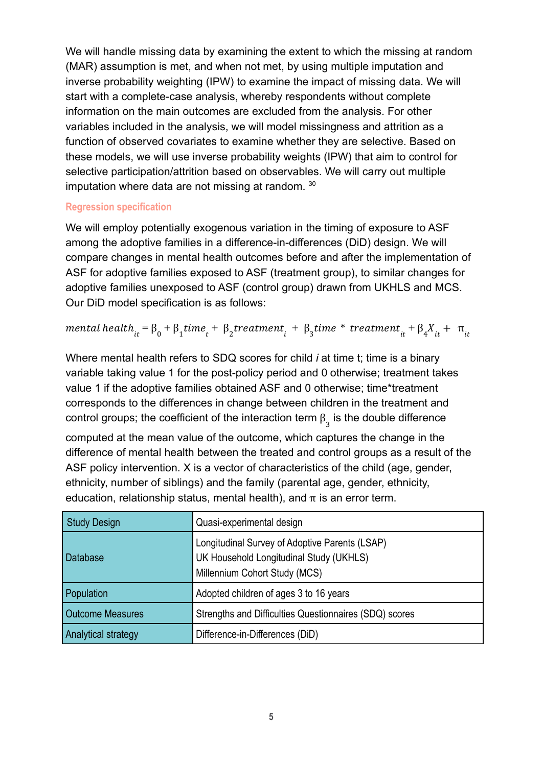We will handle missing data by examining the extent to which the missing at random (MAR) assumption is met, and when not met, by using multiple imputation and inverse probability weighting (IPW) to examine the impact of missing data. We will start with a complete-case analysis, whereby respondents without complete information on the main outcomes are excluded from the analysis. For other variables included in the analysis, we will model missingness and attrition as a function of observed covariates to examine whether they are selective. Based on these models, we will use inverse probability weights (IPW) that aim to control for selective participation/attrition based on observables. We will carry out multiple imputation where data are not missing at random. 30

#### **Regression specification**

We will employ potentially exogenous variation in the timing of exposure to ASF among the adoptive families in a difference-in-differences (DiD) design. We will compare changes in mental health outcomes before and after the implementation of ASF for adoptive families exposed to ASF (treatment group), to similar changes for adoptive families unexposed to ASF (control group) drawn from UKHLS and MCS. Our DiD model specification is as follows:

$$
mental\ health_{it} = \beta_0 + \beta_1 time_t + \beta_2 treatment_t + \beta_3 time * treatment_{it} + \beta_4 X_{it} + \pi_{it}
$$

Where mental health refers to SDQ scores for child *i* at time t; time is a binary variable taking value 1 for the post-policy period and 0 otherwise; treatment takes value 1 if the adoptive families obtained ASF and 0 otherwise; time\*treatment corresponds to the differences in change between children in the treatment and control groups; the coefficient of the interaction term  $\bm{\beta}_3$  is the double difference

computed at the mean value of the outcome, which captures the change in the difference of mental health between the treated and control groups as a result of the ASF policy intervention. X is a vector of characteristics of the child (age, gender, ethnicity, number of siblings) and the family (parental age, gender, ethnicity, education, relationship status, mental health), and  $\pi$  is an error term.

| <b>Study Design</b>     | Quasi-experimental design                                                                                                  |
|-------------------------|----------------------------------------------------------------------------------------------------------------------------|
| <b>Database</b>         | Longitudinal Survey of Adoptive Parents (LSAP)<br>UK Household Longitudinal Study (UKHLS)<br>Millennium Cohort Study (MCS) |
| Population              | Adopted children of ages 3 to 16 years                                                                                     |
| <b>Outcome Measures</b> | Strengths and Difficulties Questionnaires (SDQ) scores                                                                     |
| Analytical strategy     | Difference-in-Differences (DiD)                                                                                            |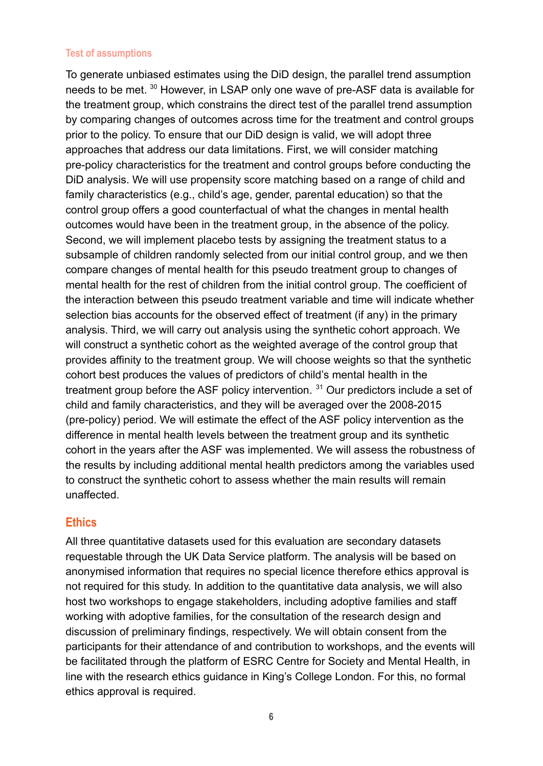#### **Test of assumptions**

To generate unbiased estimates using the DiD design, the parallel trend assumption needs to be met. <sup>30</sup> However, in LSAP only one wave of pre-ASF data is available for the treatment group, which constrains the direct test of the parallel trend assumption by comparing changes of outcomes across time for the treatment and control groups prior to the policy. To ensure that our DiD design is valid, we will adopt three approaches that address our data limitations. First, we will consider matching pre-policy characteristics for the treatment and control groups before conducting the DiD analysis. We will use propensity score matching based on a range of child and family characteristics (e.g., child's age, gender, parental education) so that the control group offers a good counterfactual of what the changes in mental health outcomes would have been in the treatment group, in the absence of the policy. Second, we will implement placebo tests by assigning the treatment status to a subsample of children randomly selected from our initial control group, and we then compare changes of mental health for this pseudo treatment group to changes of mental health for the rest of children from the initial control group. The coefficient of the interaction between this pseudo treatment variable and time will indicate whether selection bias accounts for the observed effect of treatment (if any) in the primary analysis. Third, we will carry out analysis using the synthetic cohort approach. We will construct a synthetic cohort as the weighted average of the control group that provides affinity to the treatment group. We will choose weights so that the synthetic cohort best produces the values of predictors of child's mental health in the treatment group before the ASF policy intervention.  $31$  Our predictors include a set of child and family characteristics, and they will be averaged over the 2008-2015 (pre-policy) period. We will estimate the effect of the ASF policy intervention as the difference in mental health levels between the treatment group and its synthetic cohort in the years after the ASF was implemented. We will assess the robustness of the results by including additional mental health predictors among the variables used to construct the synthetic cohort to assess whether the main results will remain unaffected.

#### **Ethics**

All three quantitative datasets used for this evaluation are secondary datasets requestable through the UK Data Service platform. The analysis will be based on anonymised information that requires no special licence therefore ethics approval is not required for this study. In addition to the quantitative data analysis, we will also host two workshops to engage stakeholders, including adoptive families and staff working with adoptive families, for the consultation of the research design and discussion of preliminary findings, respectively. We will obtain consent from the participants for their attendance of and contribution to workshops, and the events will be facilitated through the platform of ESRC Centre for Society and Mental Health, in line with the research ethics guidance in King's College London. For this, no formal ethics approval is required.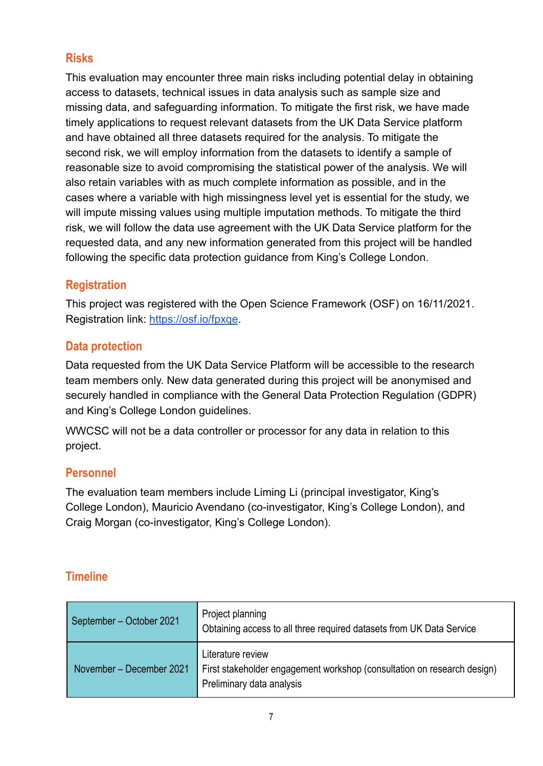# **Risks**

This evaluation may encounter three main risks including potential delay in obtaining access to datasets, technical issues in data analysis such as sample size and missing data, and safeguarding information. To mitigate the first risk, we have made timely applications to request relevant datasets from the UK Data Service platform and have obtained all three datasets required for the analysis. To mitigate the second risk, we will employ information from the datasets to identify a sample of reasonable size to avoid compromising the statistical power of the analysis. We will also retain variables with as much complete information as possible, and in the cases where a variable with high missingness level yet is essential for the study, we will impute missing values using multiple imputation methods. To mitigate the third risk, we will follow the data use agreement with the UK Data Service platform for the requested data, and any new information generated from this project will be handled following the specific data protection guidance from King's College London.

# **Registration**

This project was registered with the Open Science Framework (OSF) on 16/11/2021. Registration link: <https://osf.io/fpxqe>.

### **Data protection**

Data requested from the UK Data Service Platform will be accessible to the research team members only. New data generated during this project will be anonymised and securely handled in compliance with the General Data Protection Regulation (GDPR) and King's College London guidelines.

WWCSC will not be a data controller or processor for any data in relation to this project.

# **Personnel**

The evaluation team members include Liming Li (principal investigator, King's College London), Mauricio Avendano (co-investigator, King's College London), and Craig Morgan (co-investigator, King's College London).

# **Timeline**

| September – October 2021 | Project planning<br>Obtaining access to all three required datasets from UK Data Service                                  |
|--------------------------|---------------------------------------------------------------------------------------------------------------------------|
| November - December 2021 | Literature review<br>First stakeholder engagement workshop (consultation on research design)<br>Preliminary data analysis |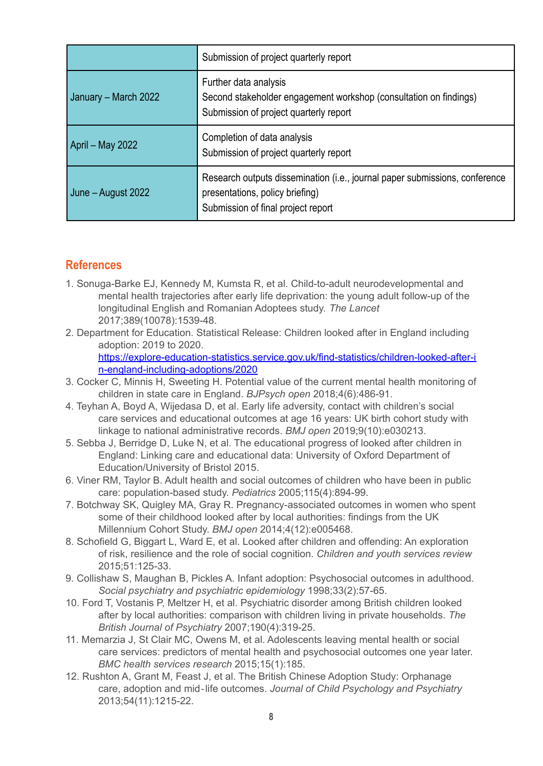|                      | Submission of project quarterly report                                                                                                               |
|----------------------|------------------------------------------------------------------------------------------------------------------------------------------------------|
| January – March 2022 | Further data analysis<br>Second stakeholder engagement workshop (consultation on findings)<br>Submission of project quarterly report                 |
| April – May 2022     | Completion of data analysis<br>Submission of project quarterly report                                                                                |
| June – August 2022   | Research outputs dissemination (i.e., journal paper submissions, conference<br>presentations, policy briefing)<br>Submission of final project report |

### **References**

- 1. Sonuga-Barke EJ, Kennedy M, Kumsta R, et al. Child-to-adult neurodevelopmental and mental health trajectories after early life deprivation: the young adult follow-up of the longitudinal English and Romanian Adoptees study. *The Lancet* 2017;389(10078):1539-48.
- 2. Department for Education. Statistical Release: Children looked after in England including adoption: 2019 to 2020. [https://explore-education-statistics.service.gov.uk/find-statistics/children-looked-after-i](https://explore-education-statistics.service.gov.uk/find-statistics/children-looked-after-in-england-including-adoptions/2020)

[n-england-including-adoptions/2020](https://explore-education-statistics.service.gov.uk/find-statistics/children-looked-after-in-england-including-adoptions/2020)

- 3. Cocker C, Minnis H, Sweeting H. Potential value of the current mental health monitoring of children in state care in England. *BJPsych open* 2018;4(6):486-91.
- 4. Teyhan A, Boyd A, Wijedasa D, et al. Early life adversity, contact with children's social care services and educational outcomes at age 16 years: UK birth cohort study with linkage to national administrative records. *BMJ open* 2019;9(10):e030213.
- 5. Sebba J, Berridge D, Luke N, et al. The educational progress of looked after children in England: Linking care and educational data: University of Oxford Department of Education/University of Bristol 2015.
- 6. Viner RM, Taylor B. Adult health and social outcomes of children who have been in public care: population-based study. *Pediatrics* 2005;115(4):894-99.
- 7. Botchway SK, Quigley MA, Gray R. Pregnancy-associated outcomes in women who spent some of their childhood looked after by local authorities: findings from the UK Millennium Cohort Study. *BMJ open* 2014;4(12):e005468.
- 8. Schofield G, Biggart L, Ward E, et al. Looked after children and offending: An exploration of risk, resilience and the role of social cognition. *Children and youth services review* 2015;51:125-33.
- 9. Collishaw S, Maughan B, Pickles A. Infant adoption: Psychosocial outcomes in adulthood. *Social psychiatry and psychiatric epidemiology* 1998;33(2):57-65.
- 10. Ford T, Vostanis P, Meltzer H, et al. Psychiatric disorder among British children looked after by local authorities: comparison with children living in private households. *The British Journal of Psychiatry* 2007;190(4):319-25.
- 11. Memarzia J, St Clair MC, Owens M, et al. Adolescents leaving mental health or social care services: predictors of mental health and psychosocial outcomes one year later. *BMC health services research* 2015;15(1):185.
- 12. Rushton A, Grant M, Feast J, et al. The British Chinese Adoption Study: Orphanage care, adoption and mid‐life outcomes. *Journal of Child Psychology and Psychiatry* 2013;54(11):1215-22.